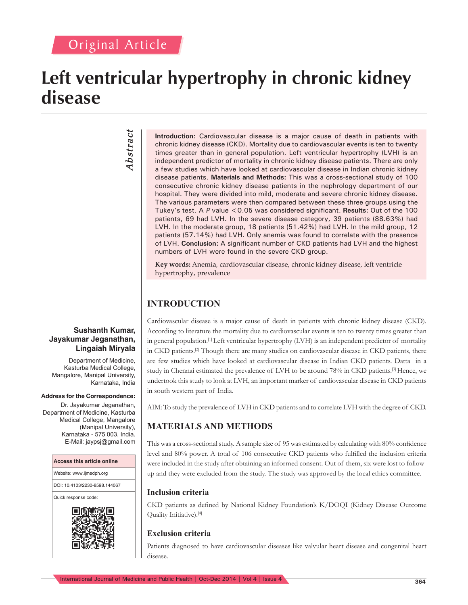# Original Article

# **Left ventricular hypertrophy in chronic kidney disease**

# *Abstract* Abstract

**Introduction:** Cardiovascular disease is a major cause of death in patients with chronic kidney disease (CKD). Mortality due to cardiovascular events is ten to twenty times greater than in general population. Left ventricular hypertrophy (LVH) is an independent predictor of mortality in chronic kidney disease patients. There are only a few studies which have looked at cardiovascular disease in Indian chronic kidney disease patients. **Materials and Methods:** This was a cross-sectional study of 100 consecutive chronic kidney disease patients in the nephrology department of our hospital. They were divided into mild, moderate and severe chronic kidney disease. The various parameters were then compared between these three groups using the Tukey's test. A P value <0.05 was considered significant. Results: Out of the 100 patients, 69 had LVH. In the severe disease category, 39 patients (88.63%) had LVH. In the moderate group, 18 patients (51.42%) had LVH. In the mild group, 12 patients (57.14%) had LVH. Only anemia was found to correlate with the presence of LVH. **Conclusion:** A significant number of CKD patients had LVH and the highest numbers of LVH were found in the severe CKD group.

**Key words:** Anemia, cardiovascular disease, chronic kidney disease, left ventricle hypertrophy, prevalence

# **INTRODUCTION**

Cardiovascular disease is a major cause of death in patients with chronic kidney disease (CKD). According to literature the mortality due to cardiovascular events is ten to twenty times greater than in general population.<sup>[1]</sup> Left ventricular hypertrophy (LVH) is an independent predictor of mortality in CKD patients.<sup>[2]</sup> Though there are many studies on cardiovascular disease in CKD patients, there are few studies which have looked at cardiovascular disease in Indian CKD patients. Datta in a study in Chennai estimated the prevalence of LVH to be around 78% in CKD patients.[3] Hence, we undertook this study to look at LVH, an important marker of cardiovascular disease in CKD patients in south western part of India.

AIM: To study the prevalence of LVH in CKD patients and to correlate LVH with the degree of CKD.

# **MATERIALS AND METHODS**

This was a cross-sectional study. A sample size of 95 was estimated by calculating with 80% confidence level and 80% power. A total of 106 consecutive CKD patients who fulfilled the inclusion criteria were included in the study after obtaining an informed consent. Out of them, six were lost to followup and they were excluded from the study. The study was approved by the local ethics committee.

#### **Inclusion criteria**

CKD patients as defined by National Kidney Foundation's K/DOQI (Kidney Disease Outcome Quality Initiative).[4]

## **Exclusion criteria**

Patients diagnosed to have cardiovascular diseases like valvular heart disease and congenital heart disease.

## **Sushanth Kumar, Jayakumar Jeganathan, Lingaiah Miryala**

Department of Medicine, Kasturba Medical College, Mangalore, Manipal University, Karnataka, India

#### **Address for the Correspondence:**

Dr. Jayakumar Jeganathan, Department of Medicine, Kasturba Medical College, Mangalore (Manipal University), Karnataka - 575 003, India. E-Mail: jaypsj@gmail.com

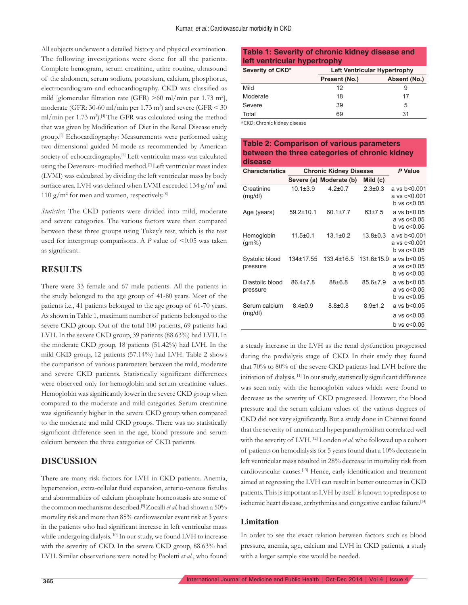All subjects underwent a detailed history and physical examination. The following investigations were done for all the patients. Complete hemogram, serum creatinine, urine routine, ultrasound of the abdomen, serum sodium, potassium, calcium, phosphorus, electrocardiogram and echocardiography. CKD was classified as mild [glomerular filtration rate (GFR)  $>60$  ml/min per 1.73 m<sup>2</sup>], moderate (GFR:  $30-60$  ml/min per 1.73 m<sup>2</sup>) and severe (GFR  $\leq 30$ ml/min per 1.73 m<sup>2</sup>).<sup>[4]</sup> The GFR was calculated using the method that was given by Modification of Diet in the Renal Disease study group.[5] Echocardiography: Measurements were performed using two-dimensional guided M-mode as recommended by American society of echocardiography.<sup>[6]</sup> Left ventricular mass was calculated using the Devereux- modified method.<sup>[7]</sup> Left ventricular mass index (LVMI) was calculated by dividing the left ventricular mass by body surface area. LVH was defined when LVMI exceeded 134 g/m<sup>2</sup> and 110 g/m2 for men and women, respectively.[8]

*Statistics*: The CKD patients were divided into mild, moderate and severe categories. The various factors were then compared between these three groups using Tukey's test, which is the test used for intergroup comparisons. A *P* value of <0.05 was taken as significant.

## **RESULTS**

There were 33 female and 67 male patients. All the patients in the study belonged to the age group of 41-80 years. Most of the patients i.e., 41 patients belonged to the age group of 61-70 years. As shown in Table 1, maximum number of patients belonged to the severe CKD group. Out of the total 100 patients, 69 patients had LVH. In the severe CKD group, 39 patients (88.63%) had LVH. In the moderate CKD group, 18 patients (51.42%) had LVH. In the mild CKD group, 12 patients (57.14%) had LVH. Table 2 shows the comparison of various parameters between the mild, moderate and severe CKD patients. Statistically significant differences were observed only for hemoglobin and serum creatinine values. Hemoglobin was significantly lower in the severe CKD group when compared to the moderate and mild categories. Serum creatinine was significantly higher in the severe CKD group when compared to the moderate and mild CKD groups. There was no statistically significant difference seen in the age, blood pressure and serum calcium between the three categories of CKD patients.

## **DISCUSSION**

There are many risk factors for LVH in CKD patients. Anemia, hypertension, extra-cellular fluid expansion, arterio-venous fistulas and abnormalities of calcium phosphate homeostasis are some of the common mechanisms described.[9] Zocalli *et al.* had shown a 50% mortality risk and more than 85% cardiovascular event risk at 3 years in the patients who had significant increase in left ventricular mass while undergoing dialysis.<sup>[10]</sup> In our study, we found LVH to increase with the severity of CKD. In the severe CKD group, 88.63% had LVH. Similar observations were noted by Paoletti *et al.*, who found

# **Table 1: Severity of chronic kidney disease and left ventricular hypertrophy**

| Severity of CKD* | Left Ventricular Hypertrophy |              |  |  |
|------------------|------------------------------|--------------|--|--|
|                  | Present (No.)                | Absent (No.) |  |  |
| Mild             | 12                           | 9            |  |  |
| Moderate         | 18                           | 17           |  |  |
| Severe           | 39                           | 5            |  |  |
| Total            | 69                           | 31           |  |  |

\*CKD: Chronic kidney disease

#### **Table 2: Comparison of various parameters between the three categories of chronic kidney disease**

| <b>Characteristics</b>      | <b>Chronic Kidney Disease</b> |                         |                | P Value                         |
|-----------------------------|-------------------------------|-------------------------|----------------|---------------------------------|
|                             |                               | Severe (a) Moderate (b) | Mild $(c)$     |                                 |
| Creatinine                  | $10.1 \pm 3.9$                | $4.2 \pm 0.7$           | $2.3 \pm 0.3$  | a vs b<0.001                    |
| (mg/dl)                     |                               |                         |                | a vs c<0.001<br>b vs c<0.05     |
| Age (years)                 | $59.2 \pm 10.1$               | $60.1 \pm 7.7$          | $63+7.5$       | a vs b < 0.05                   |
|                             |                               |                         |                | a vs c<0.05<br>b vs c<0.05      |
| Hemoglobin                  | $11.5 \pm 0.1$                | $13.1 \pm 0.2$          | $13.8 \pm 0.3$ | a vs b<0.001                    |
| $(gm\%)$                    |                               |                         |                | a vs c<0.001<br>b vs $c < 0.05$ |
| Systolic blood<br>pressure  | 134±17.55                     | $133.4 \pm 16.5$        | 131.6±15.9     | a vs b<0.05                     |
|                             |                               |                         |                | a vs c<0.05<br>b vs c<0.05      |
| Diastolic blood<br>pressure | $86.4{\pm}7.8$                | $88 + 6.8$              | $85.6{\pm}7.9$ | a vs $b < 0.05$                 |
|                             |                               |                         |                | a vs c<0.05                     |
|                             |                               |                         |                | b vs $c<0.05$                   |
| Serum calcium               | $8.4 \pm 0.9$                 | $8.8 \pm 0.8$           | $8.9 + 1.2$    | a vs b<0.05                     |
| (mg/dl)                     |                               |                         |                | a vs c<0.05                     |
|                             |                               |                         |                | b vs c<0.05                     |

a steady increase in the LVH as the renal dysfunction progressed during the predialysis stage of CKD. In their study they found that 70% to 80% of the severe CKD patients had LVH before the initiation of dialysis.<sup>[11]</sup> In our study, statistically significant difference was seen only with the hemoglobin values which were found to decrease as the severity of CKD progressed. However, the blood pressure and the serum calcium values of the various degrees of CKD did not vary significantly. But a study done in Chennai found that the severity of anemia and hyperparathyroidism correlated well with the severity of LVH.[12] Londen *et al.* who followed up a cohort of patients on hemodialysis for 5 years found that a 10% decrease in left ventricular mass resulted in 28% decrease in mortality risk from cardiovascular causes.<sup>[13]</sup> Hence, early identification and treatment aimed at regressing the LVH can result in better outcomes in CKD patients. This is important as LVH by itself is known to predispose to ischemic heart disease, arrhythmias and congestive cardiac failure.<sup>[14]</sup>

#### **Limitation**

In order to see the exact relation between factors such as blood pressure, anemia, age, calcium and LVH in CKD patients, a study with a larger sample size would be needed.